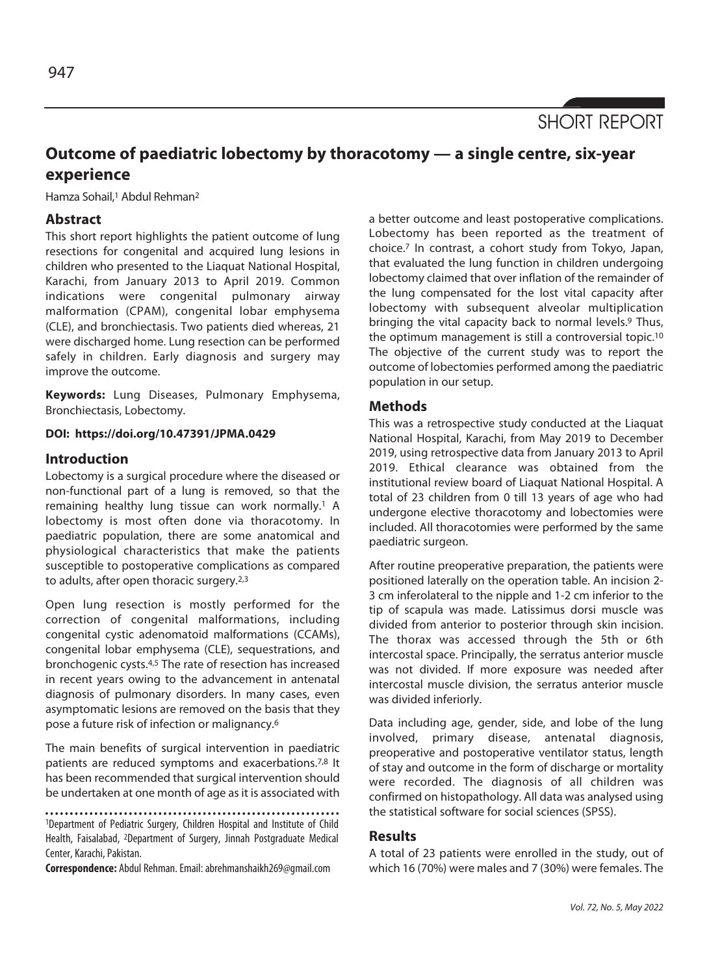

# **Outcome of paediatric lobectomy by thoracotomy — a single centre, six-year experience**

Hamza Sohail,<sup>1</sup> Abdul Rehman<sup>2</sup>

# **Abstract**

This short report highlights the patient outcome of lung resections for congenital and acquired lung lesions in children who presented to the Liaquat National Hospital, Karachi, from January 2013 to April 2019. Common indications were congenital pulmonary airway malformation (CPAM), congenital lobar emphysema (CLE), and bronchiectasis. Two patients died whereas, 21 were discharged home. Lung resection can be performed safely in children. Early diagnosis and surgery may improve the outcome.

**Keywords:** Lung Diseases, Pulmonary Emphysema, Bronchiectasis, Lobectomy.

#### **DOI: https://doi.org/10.47391/JPMA.0429**

#### **Introduction**

Lobectomy is a surgical procedure where the diseased or non-functional part of a lung is removed, so that the remaining healthy lung tissue can work normally.<sup>1</sup> A lobectomy is most often done via thoracotomy. In paediatric population, there are some anatomical and physiological characteristics that make the patients susceptible to postoperative complications as compared to adults, after open thoracic surgery.2,3

Open lung resection is mostly performed for the correction of congenital malformations, including congenital cystic adenomatoid malformations (CCAMs), congenital lobar emphysema (CLE), sequestrations, and bronchogenic cysts.4,5 The rate of resection has increased in recent years owing to the advancement in antenatal diagnosis of pulmonary disorders. In many cases, even asymptomatic lesions are removed on the basis that they pose a future risk of infection or malignancy.6

The main benefits of surgical intervention in paediatric patients are reduced symptoms and exacerbations.<sup>7,8</sup> It has been recommended that surgical intervention should be undertaken at one month of age as it is associated with

1Department of Pediatric Surgery, Children Hospital and Institute of Child Health, Faisalabad, 2Department of Surgery, Jinnah Postgraduate Medical Center, Karachi, Pakistan.

**Correspondence:** Abdul Rehman. Email: abrehmanshaikh269@gmail.com

a better outcome and least postoperative complications. Lobectomy has been reported as the treatment of choice.7 In contrast, a cohort study from Tokyo, Japan, that evaluated the lung function in children undergoing lobectomy claimed that over inflation of the remainder of the lung compensated for the lost vital capacity after lobectomy with subsequent alveolar multiplication bringing the vital capacity back to normal levels.<sup>9</sup> Thus, the optimum management is still a controversial topic.10 The objective of the current study was to report the outcome of lobectomies performed among the paediatric population in our setup.

## **Methods**

This was a retrospective study conducted at the Liaquat National Hospital, Karachi, from May 2019 to December 2019, using retrospective data from January 2013 to April 2019. Ethical clearance was obtained from the institutional review board of Liaquat National Hospital. A total of 23 children from 0 till 13 years of age who had undergone elective thoracotomy and lobectomies were included. All thoracotomies were performed by the same paediatric surgeon.

After routine preoperative preparation, the patients were positioned laterally on the operation table. An incision 2- 3 cm inferolateral to the nipple and 1-2 cm inferior to the tip of scapula was made. Latissimus dorsi muscle was divided from anterior to posterior through skin incision. The thorax was accessed through the 5th or 6th intercostal space. Principally, the serratus anterior muscle was not divided. If more exposure was needed after intercostal muscle division, the serratus anterior muscle was divided inferiorly.

Data including age, gender, side, and lobe of the lung involved, primary disease, antenatal diagnosis, preoperative and postoperative ventilator status, length of stay and outcome in the form of discharge or mortality were recorded. The diagnosis of all children was confirmed on histopathology. All data was analysed using the statistical software for social sciences (SPSS).

#### **Results**

A total of 23 patients were enrolled in the study, out of which 16 (70%) were males and 7 (30%) were females. The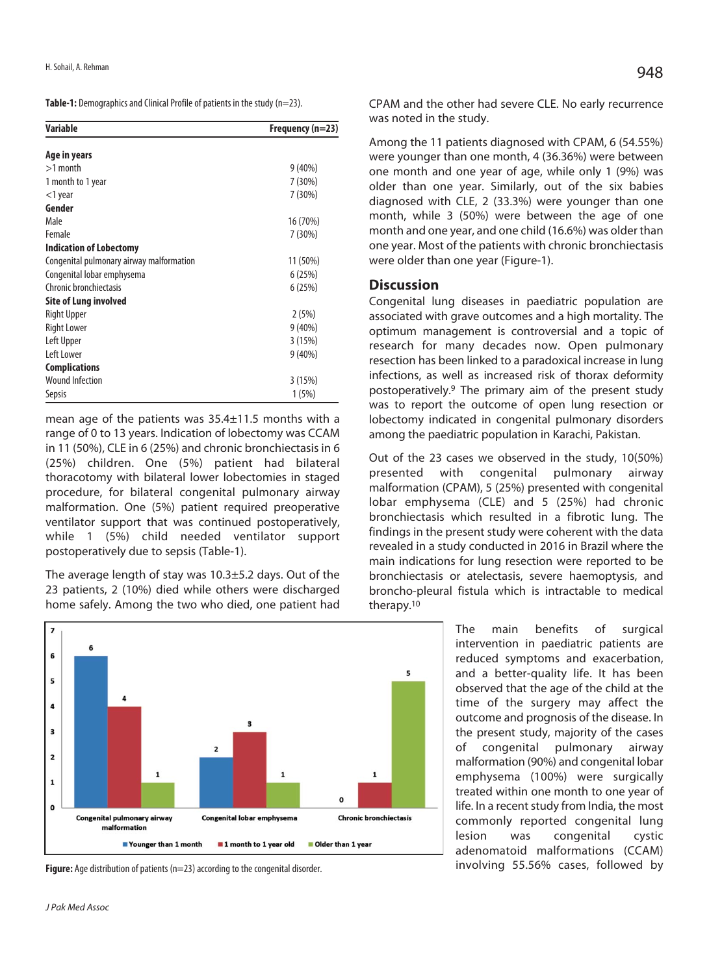**Table-1:** Demographics and Clinical Profile of patients in the study (n=23).

| <b>Variable</b>                          | Frequency (n=23) |
|------------------------------------------|------------------|
| Age in years                             |                  |
| $>1$ month                               | $9(40\%)$        |
| 1 month to 1 year                        | 7(30%)           |
| $<$ 1 year                               | 7(30%)           |
| Gender                                   |                  |
| Male                                     | 16 (70%)         |
| Female                                   | 7(30%)           |
| <b>Indication of Lobectomy</b>           |                  |
| Congenital pulmonary airway malformation | 11 (50%)         |
| Congenital lobar emphysema               | 6(25%)           |
| Chronic bronchiectasis                   | 6(25%)           |
| Site of Lung involved                    |                  |
| Right Upper                              | 2(5%)            |
| <b>Right Lower</b>                       | $9(40\%)$        |
| Left Upper                               | 3(15%)           |
| Left Lower                               | $9(40\%)$        |
| <b>Complications</b>                     |                  |
| <b>Wound Infection</b>                   | 3(15%)           |
| Sepsis                                   | 1(5%)            |

mean age of the patients was 35.4±11.5 months with a range of 0 to 13 years. Indication of lobectomy was CCAM in 11 (50%), CLE in 6 (25%) and chronic bronchiectasis in 6 (25%) children. One (5%) patient had bilateral thoracotomy with bilateral lower lobectomies in staged procedure, for bilateral congenital pulmonary airway malformation. One (5%) patient required preoperative ventilator support that was continued postoperatively, while 1 (5%) child needed ventilator support postoperatively due to sepsis (Table-1).

The average length of stay was 10.3±5.2 days. Out of the 23 patients, 2 (10%) died while others were discharged home safely. Among the two who died, one patient had



**Figure:** Age distribution of patients (n=23) according to the congenital disorder.

CPAM and the other had severe CLE. No early recurrence was noted in the study.

Among the 11 patients diagnosed with CPAM, 6 (54.55%) were younger than one month, 4 (36.36%) were between one month and one year of age, while only 1 (9%) was older than one year. Similarly, out of the six babies diagnosed with CLE, 2 (33.3%) were younger than one month, while 3 (50%) were between the age of one month and one year, and one child (16.6%) was older than one year. Most of the patients with chronic bronchiectasis were older than one year (Figure-1).

## **Discussion**

Congenital lung diseases in paediatric population are associated with grave outcomes and a high mortality. The optimum management is controversial and a topic of research for many decades now. Open pulmonary resection has been linked to a paradoxical increase in lung infections, as well as increased risk of thorax deformity postoperatively.9 The primary aim of the present study was to report the outcome of open lung resection or lobectomy indicated in congenital pulmonary disorders among the paediatric population in Karachi, Pakistan.

Out of the 23 cases we observed in the study, 10(50%) presented with congenital pulmonary airway malformation (CPAM), 5 (25%) presented with congenital lobar emphysema (CLE) and 5 (25%) had chronic bronchiectasis which resulted in a fibrotic lung. The findings in the present study were coherent with the data revealed in a study conducted in 2016 in Brazil where the main indications for lung resection were reported to be bronchiectasis or atelectasis, severe haemoptysis, and broncho-pleural fistula which is intractable to medical therapy.10

> The main benefits of surgical intervention in paediatric patients are reduced symptoms and exacerbation, and a better-quality life. It has been observed that the age of the child at the time of the surgery may affect the outcome and prognosis of the disease. In the present study, majority of the cases of congenital pulmonary airway malformation (90%) and congenital lobar emphysema (100%) were surgically treated within one month to one year of life. In a recent study from India, the most commonly reported congenital lung lesion was congenital cystic adenomatoid malformations (CCAM) involving 55.56% cases, followed by